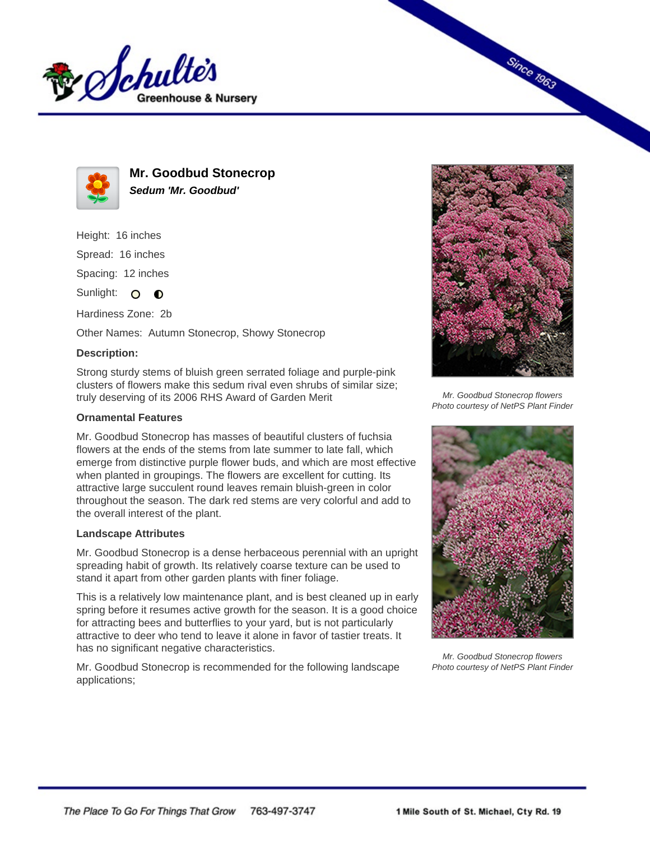



**Mr. Goodbud Stonecrop Sedum 'Mr. Goodbud'**

Height: 16 inches

Spread: 16 inches

Spacing: 12 inches

Sunlight: O  $\bullet$ 

Hardiness Zone: 2b

Other Names: Autumn Stonecrop, Showy Stonecrop

## **Description:**

Strong sturdy stems of bluish green serrated foliage and purple-pink clusters of flowers make this sedum rival even shrubs of similar size; truly deserving of its 2006 RHS Award of Garden Merit

# **Ornamental Features**

Mr. Goodbud Stonecrop has masses of beautiful clusters of fuchsia flowers at the ends of the stems from late summer to late fall, which emerge from distinctive purple flower buds, and which are most effective when planted in groupings. The flowers are excellent for cutting. Its attractive large succulent round leaves remain bluish-green in color throughout the season. The dark red stems are very colorful and add to the overall interest of the plant.

## **Landscape Attributes**

Mr. Goodbud Stonecrop is a dense herbaceous perennial with an upright spreading habit of growth. Its relatively coarse texture can be used to stand it apart from other garden plants with finer foliage.

This is a relatively low maintenance plant, and is best cleaned up in early spring before it resumes active growth for the season. It is a good choice for attracting bees and butterflies to your yard, but is not particularly attractive to deer who tend to leave it alone in favor of tastier treats. It has no significant negative characteristics.

Mr. Goodbud Stonecrop is recommended for the following landscape applications;



**Since 1963** 

Mr. Goodbud Stonecrop flowers Photo courtesy of NetPS Plant Finder



Mr. Goodbud Stonecrop flowers Photo courtesy of NetPS Plant Finder